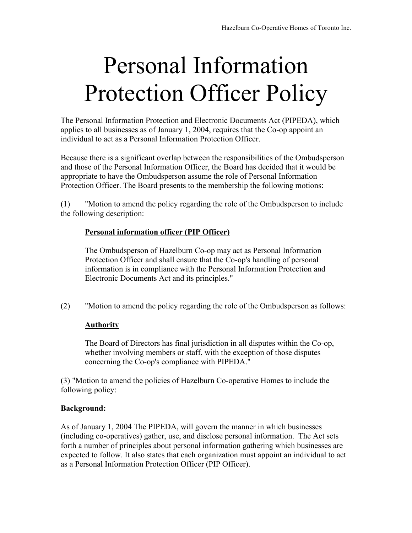## Personal Information Protection Officer Policy

The Personal Information Protection and Electronic Documents Act (PIPEDA), which applies to all businesses as of January 1, 2004, requires that the Co-op appoint an individual to act as a Personal Information Protection Officer.

Because there is a significant overlap between the responsibilities of the Ombudsperson and those of the Personal Information Officer, the Board has decided that it would be appropriate to have the Ombudsperson assume the role of Personal Information Protection Officer. The Board presents to the membership the following motions:

(1) "Motion to amend the policy regarding the role of the Ombudsperson to include the following description:

## **Personal information officer (PIP Officer)**

The Ombudsperson of Hazelburn Co-op may act as Personal Information Protection Officer and shall ensure that the Co-op's handling of personal information is in compliance with the Personal Information Protection and Electronic Documents Act and its principles."

(2) "Motion to amend the policy regarding the role of the Ombudsperson as follows:

## **Authority**

The Board of Directors has final jurisdiction in all disputes within the Co-op, whether involving members or staff, with the exception of those disputes concerning the Co-op's compliance with PIPEDA."

(3) "Motion to amend the policies of Hazelburn Co-operative Homes to include the following policy:

## **Background:**

As of January 1, 2004 The PIPEDA, will govern the manner in which businesses (including co-operatives) gather, use, and disclose personal information. The Act sets forth a number of principles about personal information gathering which businesses are expected to follow. It also states that each organization must appoint an individual to act as a Personal Information Protection Officer (PIP Officer).